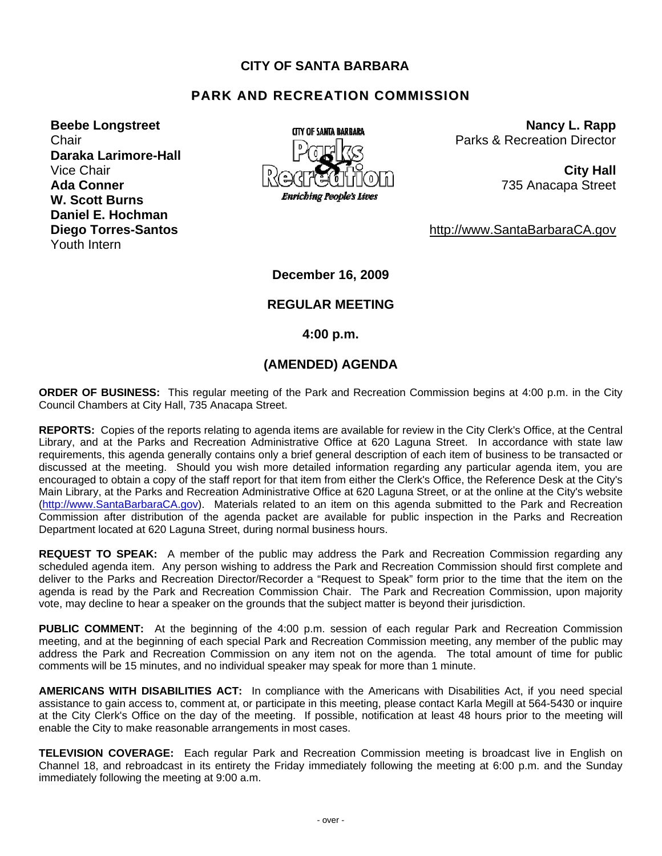### **CITY OF SANTA BARBARA**

# **PARK AND RECREATION COMMISSION**

**Daraka Larimore-Hall W. Scott Burns Daniel E. Hochman Diego Torres-Santos** http://www.SantaBarbaraCA.gov Youth Intern



**Beebe Longstreet Congress Conguster Construction Constrains Constraining Constraining Constraining Constraining Constraining Constraining Constraining Constraining Constraining Constraining Constraining Constraining Const** Chair **Parks & Recreation Director Parks & Recreation Director** 

**December 16, 2009** 

#### **REGULAR MEETING**

 **4:00 p.m.** 

## **(AMENDED) AGENDA**

**ORDER OF BUSINESS:** This regular meeting of the Park and Recreation Commission begins at 4:00 p.m. in the City Council Chambers at City Hall, 735 Anacapa Street.

**REPORTS:** Copies of the reports relating to agenda items are available for review in the City Clerk's Office, at the Central Library, and at the Parks and Recreation Administrative Office at 620 Laguna Street. In accordance with state law requirements, this agenda generally contains only a brief general description of each item of business to be transacted or discussed at the meeting. Should you wish more detailed information regarding any particular agenda item, you are encouraged to obtain a copy of the staff report for that item from either the Clerk's Office, the Reference Desk at the City's Main Library, at the Parks and Recreation Administrative Office at 620 Laguna Street, or at the online at the City's website [\(http://www.SantaBarbaraCA.gov](http://www.santabarbaraca.gov/)). Materials related to an item on this agenda submitted to the Park and Recreation Commission after distribution of the agenda packet are available for public inspection in the Parks and Recreation Department located at 620 Laguna Street, during normal business hours.

**REQUEST TO SPEAK:** A member of the public may address the Park and Recreation Commission regarding any scheduled agenda item. Any person wishing to address the Park and Recreation Commission should first complete and deliver to the Parks and Recreation Director/Recorder a "Request to Speak" form prior to the time that the item on the agenda is read by the Park and Recreation Commission Chair. The Park and Recreation Commission, upon majority vote, may decline to hear a speaker on the grounds that the subject matter is beyond their jurisdiction.

**PUBLIC COMMENT:** At the beginning of the 4:00 p.m. session of each regular Park and Recreation Commission meeting, and at the beginning of each special Park and Recreation Commission meeting, any member of the public may address the Park and Recreation Commission on any item not on the agenda. The total amount of time for public comments will be 15 minutes, and no individual speaker may speak for more than 1 minute.

**AMERICANS WITH DISABILITIES ACT:** In compliance with the Americans with Disabilities Act, if you need special assistance to gain access to, comment at, or participate in this meeting, please contact Karla Megill at 564-5430 or inquire at the City Clerk's Office on the day of the meeting. If possible, notification at least 48 hours prior to the meeting will enable the City to make reasonable arrangements in most cases.

**TELEVISION COVERAGE:** Each regular Park and Recreation Commission meeting is broadcast live in English on Channel 18, and rebroadcast in its entirety the Friday immediately following the meeting at 6:00 p.m. and the Sunday immediately following the meeting at 9:00 a.m.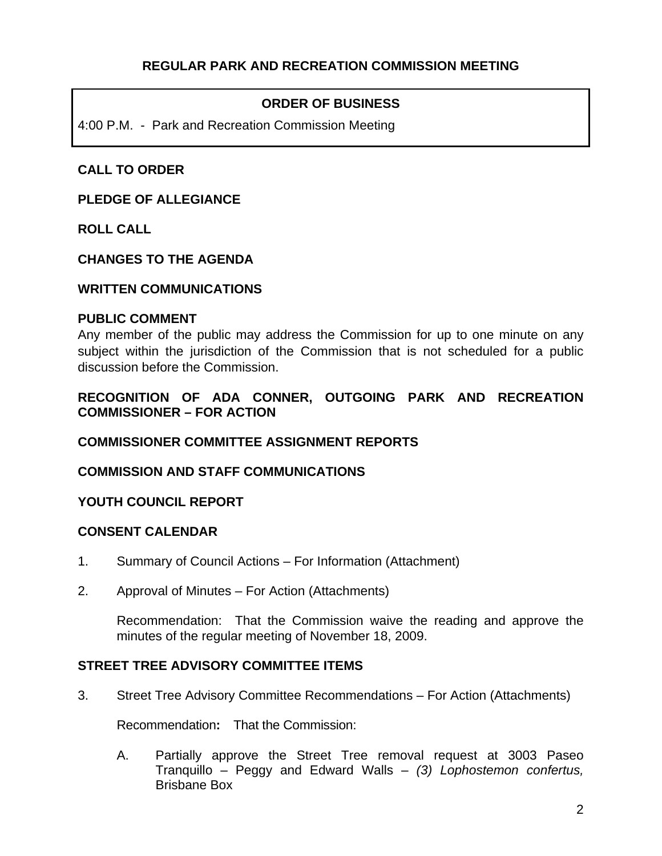# **ORDER OF BUSINESS**

4:00 P.M. - Park and Recreation Commission Meeting

# **CALL TO ORDER**

### **PLEDGE OF ALLEGIANCE**

**ROLL CALL** 

## **CHANGES TO THE AGENDA**

#### **WRITTEN COMMUNICATIONS**

#### **PUBLIC COMMENT**

Any member of the public may address the Commission for up to one minute on any subject within the jurisdiction of the Commission that is not scheduled for a public discussion before the Commission.

# **RECOGNITION OF ADA CONNER, OUTGOING PARK AND RECREATION COMMISSIONER – FOR ACTION**

**COMMISSIONER COMMITTEE ASSIGNMENT REPORTS** 

## **COMMISSION AND STAFF COMMUNICATIONS**

## **YOUTH COUNCIL REPORT**

## **CONSENT CALENDAR**

- 1. Summary of Council Actions For Information (Attachment)
- 2. Approval of Minutes For Action (Attachments)

Recommendation: That the Commission waive the reading and approve the minutes of the regular meeting of November 18, 2009.

## **STREET TREE ADVISORY COMMITTEE ITEMS**

3. Street Tree Advisory Committee Recommendations – For Action (Attachments)

Recommendation**:** That the Commission:

A. Partially approve the Street Tree removal request at 3003 Paseo Tranquillo – Peggy and Edward Walls – *(3) Lophostemon confertus,*  Brisbane Box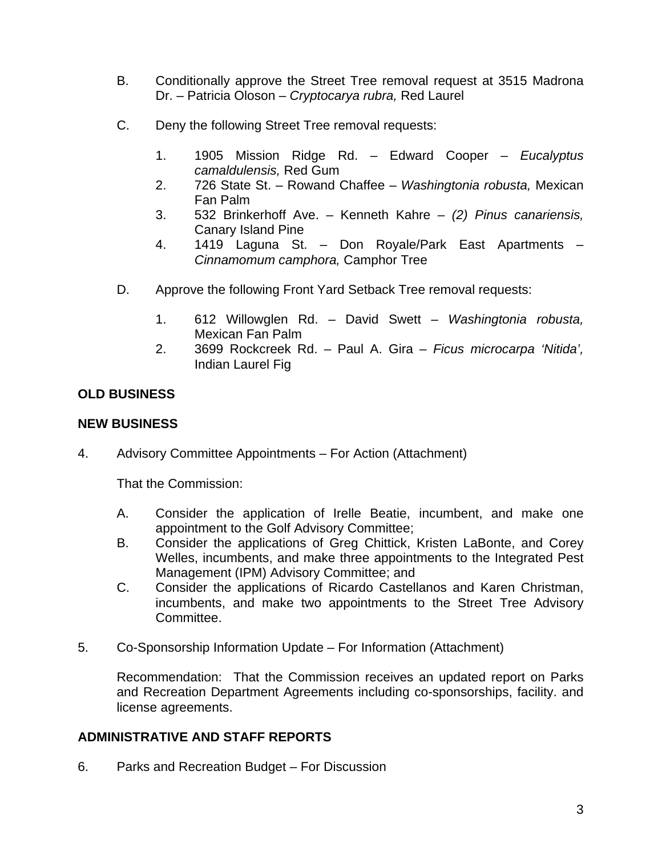- B. Conditionally approve the Street Tree removal request at 3515 Madrona Dr. – Patricia Oloson – *Cryptocarya rubra,* Red Laurel
- C. Deny the following Street Tree removal requests:
	- 1. 1905 Mission Ridge Rd. Edward Cooper *Eucalyptus camaldulensis,* Red Gum
	- 2. 726 State St. Rowand Chaffee *Washingtonia robusta,* Mexican Fan Palm
	- 3. 532 Brinkerhoff Ave. Kenneth Kahre *(2) Pinus canariensis,* Canary Island Pine
	- 4. 1419 Laguna St. Don Royale/Park East Apartments *Cinnamomum camphora,* Camphor Tree
- D. Approve the following Front Yard Setback Tree removal requests:
	- 1. 612 Willowglen Rd. David Swett *Washingtonia robusta,*  Mexican Fan Palm
	- 2. 3699 Rockcreek Rd. Paul A. Gira *Ficus microcarpa 'Nitida',* Indian Laurel Fig

# **OLD BUSINESS**

### **NEW BUSINESS**

4. Advisory Committee Appointments – For Action (Attachment)

That the Commission:

- A. Consider the application of Irelle Beatie, incumbent, and make one appointment to the Golf Advisory Committee;
- B. Consider the applications of Greg Chittick, Kristen LaBonte, and Corey Welles, incumbents, and make three appointments to the Integrated Pest Management (IPM) Advisory Committee; and
- C. Consider the applications of Ricardo Castellanos and Karen Christman, incumbents, and make two appointments to the Street Tree Advisory Committee.
- 5. Co-Sponsorship Information Update For Information (Attachment)

 Recommendation: That the Commission receives an updated report on Parks and Recreation Department Agreements including co-sponsorships, facility. and license agreements.

## **ADMINISTRATIVE AND STAFF REPORTS**

6. Parks and Recreation Budget – For Discussion